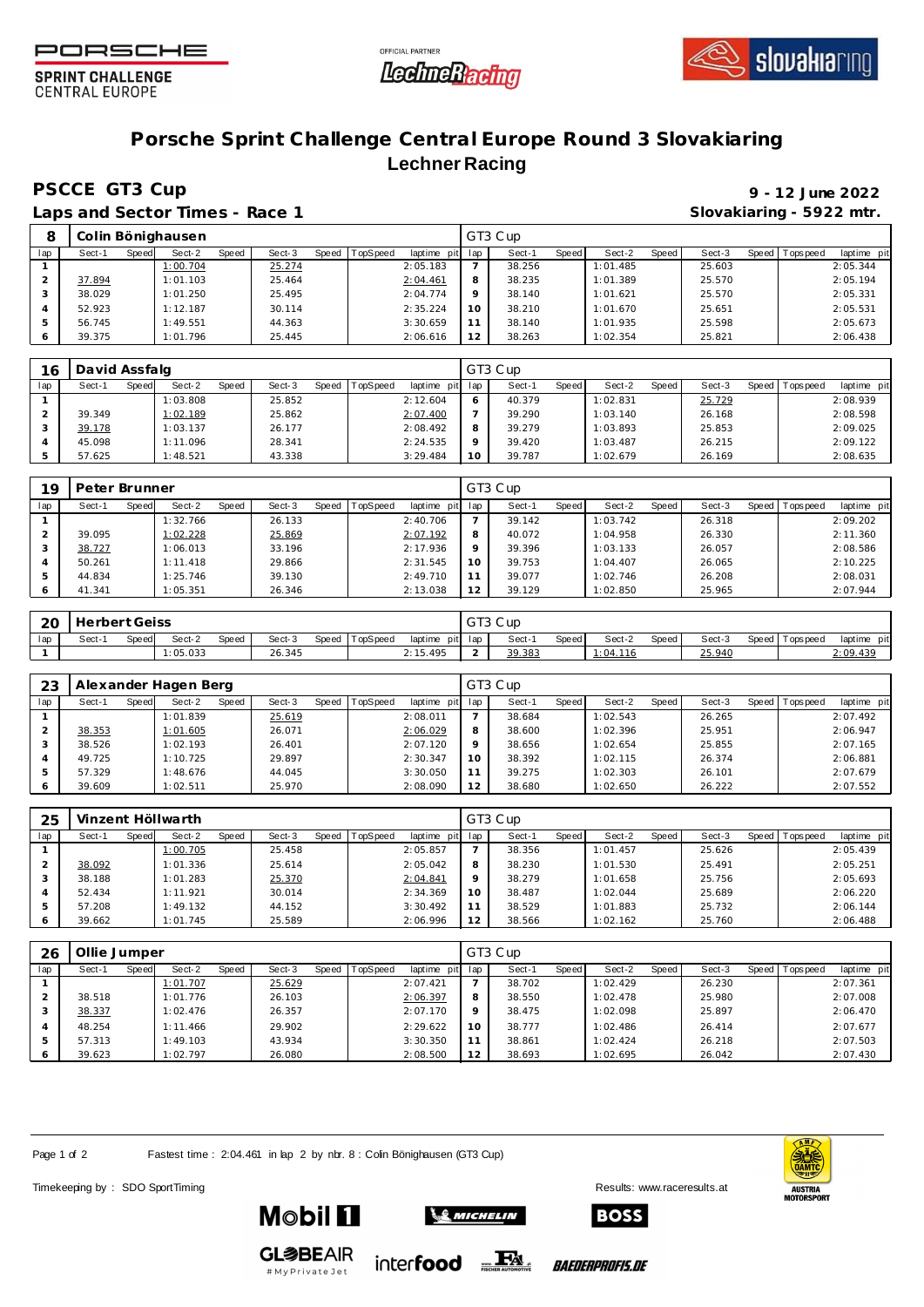





**SPRINT CHALLENGE CENTRAL EUROPE** 

## **Porsche Sprint Challenge Central Europe Round 3 Slovakiaring Lechner Racing**

**PSCCE GT3 Cup 9 - 12 June 2022**

8<sup>**8** Colin Bönighausen</sup>

Laps and Sector Times - Race 1

|              |                 |         |         |        |         | Slovakiaring - 5922 mtr. |                 |             |  |
|--------------|-----------------|---------|---------|--------|---------|--------------------------|-----------------|-------------|--|
|              |                 | GT3 Cup |         |        |         |                          |                 |             |  |
| d   TopSpeed | laptime pit lap | Sect-1  | Speed I | Sect-2 | Speed I | Sect-3                   | Speed Tops peed | laptime pit |  |
|              |                 |         |         |        |         |                          |                 |             |  |

| lap | Sect-1 | Speed | Sect-2   | Speed | Sect-3 | Speed | TopSpeed | laptime pit | lap | Sect-  | Speed | Sect-2   | Speed | Sect-3 | Speed I | Tops peed | laptime pit |
|-----|--------|-------|----------|-------|--------|-------|----------|-------------|-----|--------|-------|----------|-------|--------|---------|-----------|-------------|
|     |        |       | 1:00.704 |       | 25.274 |       |          | 2:05.183    |     | 38.256 |       | 1:01.485 |       | 25.603 |         |           | 2:05.344    |
|     | 37.894 |       | 1:01.103 |       | 25.464 |       |          | 2:04.461    | 8   | 38.235 |       | 1:01.389 |       | 25.570 |         |           | 2:05.194    |
|     | 38.029 |       | 1:01.250 |       | 25.495 |       |          | 2:04.774    | o   | 38.140 |       | 1:01.621 |       | 25.570 |         |           | 2:05.331    |
|     | 52.923 |       | 1:12.187 |       | 30.114 |       |          | 2:35.224    | 10  | 38.210 |       | 1:01.670 |       | 25.651 |         |           | 2:05.531    |
|     | 56.745 |       | 1:49.551 |       | 44.363 |       |          | 3:30.659    |     | 38.140 |       | 1:01.935 |       | 25.598 |         |           | 2:05.673    |
|     | 39.375 |       | 1:01.796 |       | 25.445 |       |          | 2:06.616    | 12  | 38.263 |       | 1:02.354 |       | 25.821 |         |           | 2:06.438    |

| 16  | David Assfalg |       |          |       |        |       |                 |             |         | GT3 Cup |       |          |       |        |       |            |             |
|-----|---------------|-------|----------|-------|--------|-------|-----------------|-------------|---------|---------|-------|----------|-------|--------|-------|------------|-------------|
| lap | Sect-1        | Speed | Sect-2   | Speed | Sect-3 | Speed | <b>TopSpeed</b> | laptime pit | lap     | Sect-1  | Speed | Sect-2   | Speed | Sect-3 | Speed | Tops pee d | laptime pit |
|     |               |       | 1:03.808 |       | 25.852 |       |                 | 2:12.604    | 6       | 40.379  |       | 1:02.831 |       | 25.729 |       |            | 2:08.939    |
|     | 39.349        |       | 1:02.189 |       | 25.862 |       |                 | 2:07.400    |         | 39.290  |       | 1:03.140 |       | 26.168 |       |            | 2:08.598    |
|     | 39.178        |       | 1:03.137 |       | 26.177 |       |                 | 2:08.492    | 8       | 39.279  |       | 1:03.893 |       | 25.853 |       |            | 2:09.025    |
|     | 45.098        |       | 1:11.096 |       | 28.341 |       |                 | 2:24.535    | $\circ$ | 39.420  |       | 1:03.487 |       | 26.215 |       |            | 2:09.122    |
|     | 57.625        |       | 1:48.521 |       | 43.338 |       |                 | 3:29.484    | 10      | 39.787  |       | 1:02.679 |       | 26.169 |       |            | 2:08.635    |

| 19  | Peter Brunner |       |          |              |        |       |                 |             |         | GT3 Cup |       |          |       |        |                |             |
|-----|---------------|-------|----------|--------------|--------|-------|-----------------|-------------|---------|---------|-------|----------|-------|--------|----------------|-------------|
| lap | Sect-1        | Speed | Sect-2   | <b>Speed</b> | Sect-3 | Speed | <b>TopSpeed</b> | laptime pit | lap     | Sect-1  | Speed | Sect-2   | Speed | Sect-3 | Speed Topspeed | laptime pit |
|     |               |       | 1:32.766 |              | 26.133 |       |                 | 2:40.706    |         | 39.142  |       | 1:03.742 |       | 26.318 |                | 2:09.202    |
|     | 39.095        |       | 1:02.228 |              | 25.869 |       |                 | 2:07.192    | 8       | 40.072  |       | 1:04.958 |       | 26.330 |                | 2:11.360    |
| 3   | 38.727        |       | 1:06.013 |              | 33.196 |       |                 | 2:17.936    | $\circ$ | 39.396  |       | 1:03.133 |       | 26.057 |                | 2:08.586    |
| 4   | 50.261        |       | 1:11.418 |              | 29.866 |       |                 | 2:31.545    | 10      | 39.753  |       | 1:04.407 |       | 26.065 |                | 2:10.225    |
| .5  | 44.834        |       | 1:25.746 |              | 39.130 |       |                 | 2:49.710    |         | 39.077  |       | 1:02.746 |       | 26.208 |                | 2:08.031    |
| 6   | 41.341        |       | 1:05.351 |              | 26.346 |       |                 | 2:13.038    | 12      | 39.129  |       | 1:02.850 |       | 25.965 |                | 2:07.944    |

| -20 | Herbert Geiss |       |          |       |        |                |                 |  | GT3 Cup |       |                 |       |        |                   |             |
|-----|---------------|-------|----------|-------|--------|----------------|-----------------|--|---------|-------|-----------------|-------|--------|-------------------|-------------|
| lap | Sect-1        | Speed | Sect-2   | Speed | Sect-3 | Speed TopSpeed | laptime pit lap |  | Sect-   | Speed | Sect-2          | Speed | Sect-3 | Speed   Tops peed | laptime pit |
|     |               |       | 1:05.033 |       | 26.345 |                | 2:15.495        |  | 39.383  |       | <u>: 04.116</u> |       | 25.940 |                   | 2:09.439    |

| 23  |        |       | Alexander Hagen Berg |       |        |                |             |         | GT3 Cup  |              |          |       |        |                 |             |
|-----|--------|-------|----------------------|-------|--------|----------------|-------------|---------|----------|--------------|----------|-------|--------|-----------------|-------------|
| lap | Sect-1 | Speed | Sect-2               | Speed | Sect-3 | Speed TopSpeed | laptime pit | lap     | $Sect-1$ | <b>Speed</b> | Sect-2   | Speed | Sect-3 | Speed Tops peed | laptime pit |
|     |        |       | 1:01.839             |       | 25.619 |                | 2:08.011    |         | 38.684   |              | 1:02.543 |       | 26.265 |                 | 2:07.492    |
|     | 38.353 |       | 1:01.605             |       | 26.071 |                | 2:06.029    | 8       | 38.600   |              | 1:02.396 |       | 25.951 |                 | 2:06.947    |
|     | 38.526 |       | 1:02.193             |       | 26.401 |                | 2:07.120    | $\circ$ | 38.656   |              | 1:02.654 |       | 25.855 |                 | 2:07.165    |
| 4   | 49.725 |       | 1:10.725             |       | 29.897 |                | 2:30.347    | 10      | 38.392   |              | 1:02.115 |       | 26.374 |                 | 2:06.881    |
|     | 57.329 |       | 1:48.676             |       | 44.045 |                | 3:30.050    | 11      | 39.275   |              | 1:02.303 |       | 26.101 |                 | 2:07.679    |
|     | 39.609 |       | 1:02.511             |       | 25.970 |                | 2:08.090    | 12      | 38.680   |              | 1:02.650 |       | 26.222 |                 | 2:07.552    |

| 25            |        |       | Vinzent Höllwarth |       |        |       |          |                 |         | GT3 Cup |       |          |       |        |                |             |
|---------------|--------|-------|-------------------|-------|--------|-------|----------|-----------------|---------|---------|-------|----------|-------|--------|----------------|-------------|
| lap           | Sect-1 | Speed | Sect-2            | Speed | Sect-3 | Speed | TopSpeed | laptime pit lap |         | Sect-1  | Speed | Sect-2   | Speed | Sect-3 | Speed Topspeed | laptime pit |
|               |        |       | 1:00.705          |       | 25.458 |       |          | 2:05.857        |         | 38.356  |       | 1:01.457 |       | 25.626 |                | 2:05.439    |
|               | 38.092 |       | 1:01.336          |       | 25.614 |       |          | 2:05.042        | 8       | 38.230  |       | 1:01.530 |       | 25.491 |                | 2:05.251    |
| 3             | 38.188 |       | 1:01.283          |       | 25.370 |       |          | 2:04.841        | $\circ$ | 38.279  |       | 1:01.658 |       | 25.756 |                | 2:05.693    |
|               | 52.434 |       | 1:11.921          |       | 30.014 |       |          | 2:34.369        | 10      | 38.487  |       | 1:02.044 |       | 25.689 |                | 2:06.220    |
| $\mathcal{P}$ | 57.208 |       | 1:49.132          |       | 44.152 |       |          | 3:30.492        | 11      | 38.529  |       | 1:01.883 |       | 25.732 |                | 2:06.144    |
| 6             | 39.662 |       | 1:01.745          |       | 25.589 |       |          | 2:06.996        | 12      | 38.566  |       | 1:02.162 |       | 25.760 |                | 2:06.488    |

| 26  | Ollie Jumper |       |          |       |        |       |         |             |         | GT3 Cup |       |          |       |        |       |            |             |
|-----|--------------|-------|----------|-------|--------|-------|---------|-------------|---------|---------|-------|----------|-------|--------|-------|------------|-------------|
| lap | Sect-1       | Speed | Sect-2   | Speed | Sect-3 | Speed | opSpeed | laptime pit | lap     | Sect-1  | Speed | Sect-2   | Speed | Sect-3 | Speed | T ops peed | laptime pit |
|     |              |       | 1:01.707 |       | 25.629 |       |         | 2:07.421    |         | 38.702  |       | 1:02.429 |       | 26.230 |       |            | 2:07.361    |
|     | 38.518       |       | 1:01.776 |       | 26.103 |       |         | 2:06.397    | 8       | 38.550  |       | 1:02.478 |       | 25.980 |       |            | 2:07.008    |
| 3   | 38.337       |       | 1:02.476 |       | 26.357 |       |         | 2:07.170    | $\circ$ | 38.475  |       | 1:02.098 |       | 25.897 |       |            | 2:06.470    |
| 4   | 48.254       |       | 1:11.466 |       | 29.902 |       |         | 2:29.622    | 10      | 38.777  |       | 1:02.486 |       | 26.414 |       |            | 2:07.677    |
| b.  | 57.313       |       | 1:49.103 |       | 43.934 |       |         | 3:30.350    | 11      | 38.861  |       | 1:02.424 |       | 26.218 |       |            | 2:07.503    |
| O   | 39.623       |       | 1:02.797 |       | 26.080 |       |         | 2:08.500    | 12      | 38.693  |       | 1:02.695 |       | 26.042 |       |            | 2:07.430    |

Page 1 of 2 Fastest time : 2:04.461 in lap 2 by nbr. 8 : Colin Bönighausen (GT3 Cup)

Timekeeping by : SDO SportTiming Results: [www.raceresults.a](www.raceresults.at)t







**BOSS** 

**GL参BEAIR** #MyPrivateJet

**Mobil 11** 

inter**food** EX

*BAEDERPROFIS.DE*